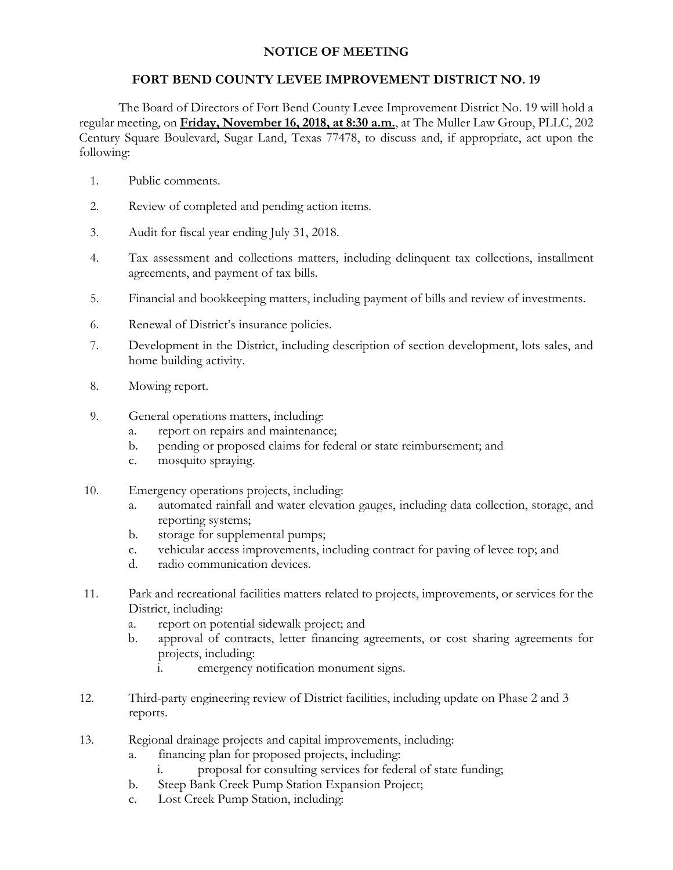## **NOTICE OF MEETING**

## **FORT BEND COUNTY LEVEE IMPROVEMENT DISTRICT NO. 19**

The Board of Directors of Fort Bend County Levee Improvement District No. 19 will hold a regular meeting, on **Friday, November 16, 2018, at 8:30 a.m.**, at The Muller Law Group, PLLC, 202 Century Square Boulevard, Sugar Land, Texas 77478, to discuss and, if appropriate, act upon the following:

- 1. Public comments.
- 2. Review of completed and pending action items.
- 3. Audit for fiscal year ending July 31, 2018.
- 4. Tax assessment and collections matters, including delinquent tax collections, installment agreements, and payment of tax bills.
- 5. Financial and bookkeeping matters, including payment of bills and review of investments.
- 6. Renewal of District's insurance policies.
- 7. Development in the District, including description of section development, lots sales, and home building activity.
- 8. Mowing report.
- 9. General operations matters, including:
	- a. report on repairs and maintenance;
	- b. pending or proposed claims for federal or state reimbursement; and
	- c. mosquito spraying.
- 10. Emergency operations projects, including:
	- a. automated rainfall and water elevation gauges, including data collection, storage, and reporting systems;
	- b. storage for supplemental pumps;
	- c. vehicular access improvements, including contract for paving of levee top; and
	- d. radio communication devices.
- 11. Park and recreational facilities matters related to projects, improvements, or services for the District, including:
	- a. report on potential sidewalk project; and
	- b. approval of contracts, letter financing agreements, or cost sharing agreements for projects, including:
		- i. emergency notification monument signs.
- 12. Third-party engineering review of District facilities, including update on Phase 2 and 3 reports.
- 13. Regional drainage projects and capital improvements, including:
	- a. financing plan for proposed projects, including:
		- i. proposal for consulting services for federal of state funding;
	- b. Steep Bank Creek Pump Station Expansion Project;
	- c. Lost Creek Pump Station, including: